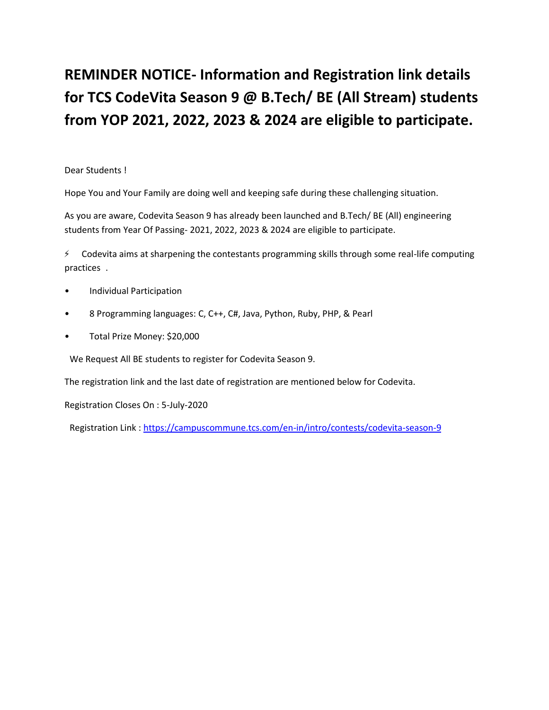## **REMINDER NOTICE- Information and Registration link details for TCS CodeVita Season 9 @ B.Tech/ BE (All Stream) students from YOP 2021, 2022, 2023 & 2024 are eligible to participate.**

Dear Students !

Hope You and Your Family are doing well and keeping safe during these challenging situation.

As you are aware, Codevita Season 9 has already been launched and B.Tech/ BE (All) engineering students from Year Of Passing- 2021, 2022, 2023 & 2024 are eligible to participate.

 $\frac{1}{2}$  Codevita aims at sharpening the contestants programming skills through some real-life computing practices .

- Individual Participation
- 8 Programming languages: C, C++, C#, Java, Python, Ruby, PHP, & Pearl
- Total Prize Money: \$20,000

We Request All BE students to register for Codevita Season 9.

The registration link and the last date of registration are mentioned below for Codevita.

Registration Closes On : 5-July-2020

Registration Link : https://campuscommune.tcs.com/en-in/intro/contests/codevita-season-9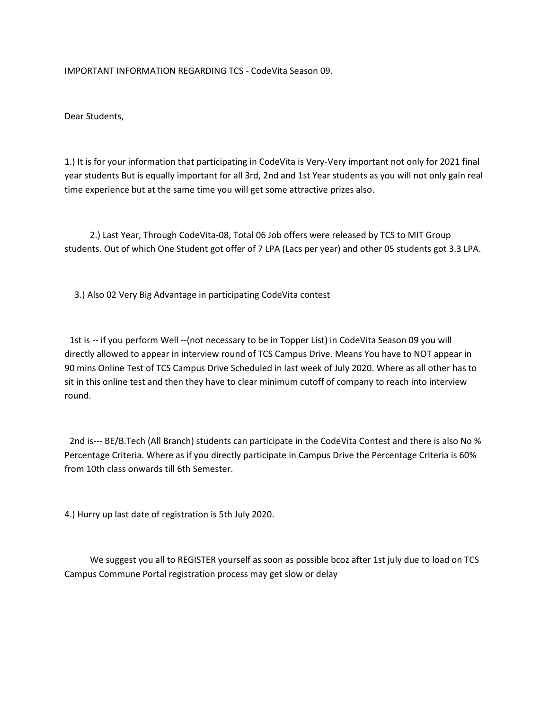IMPORTANT INFORMATION REGARDING TCS - CodeVita Season 09.

Dear Students,

1.) It is for your information that participating in CodeVita is Very-Very important not only for 2021 final year students But is equally important for all 3rd, 2nd and 1st Year students as you will not only gain real time experience but at the same time you will get some attractive prizes also.

2.) Last Year, Through CodeVita-08, Total 06 Job offers were released by TCS to MIT Group students. Out of which One Student got offer of 7 LPA (Lacs per year) and other 05 students got 3.3 LPA.

3.) Also 02 Very Big Advantage in participating CodeVita contest

1st is -- if you perform Well --(not necessary to be in Topper List) in CodeVita Season 09 you will directly allowed to appear in interview round of TCS Campus Drive. Means You have to NOT appear in 90 mins Online Test of TCS Campus Drive Scheduled in last week of July 2020. Where as all other has to sit in this online test and then they have to clear minimum cutoff of company to reach into interview round.

2nd is--- BE/B.Tech (All Branch) students can participate in the CodeVita Contest and there is also No % Percentage Criteria. Where as if you directly participate in Campus Drive the Percentage Criteria is 60% from 10th class onwards till 6th Semester.

4.) Hurry up last date of registration is 5th July 2020.

We suggest you all to REGISTER yourself as soon as possible bcoz after 1st july due to load on TCS Campus Commune Portal registration process may get slow or delay